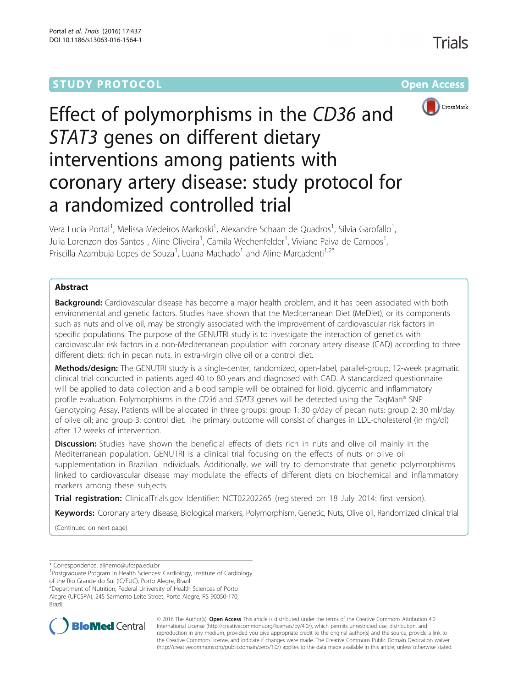### **STUDY PROTOCOL CONSUMING THE RESERVE ACCESS**

Trials





# Effect of polymorphisms in the CD36 and STAT3 genes on different dietary interventions among patients with coronary artery disease: study protocol for a randomized controlled trial

Vera Lucia Portal<sup>1</sup>, Melissa Medeiros Markoski<sup>1</sup>, Alexandre Schaan de Quadros<sup>1</sup>, Sílvia Garofallo<sup>1</sup> , Julia Lorenzon dos Santos<sup>1</sup>, Aline Oliveira<sup>1</sup>, Camila Wechenfelder<sup>1</sup>, Viviane Paiva de Campos<sup>1</sup> , Priscilla Azambuja Lopes de Souza<sup>1</sup>, Luana Machado<sup>1</sup> and Aline Marcadenti<sup>1,2\*</sup>

#### Abstract

Background: Cardiovascular disease has become a major health problem, and it has been associated with both environmental and genetic factors. Studies have shown that the Mediterranean Diet (MeDiet), or its components such as nuts and olive oil, may be strongly associated with the improvement of cardiovascular risk factors in specific populations. The purpose of the GENUTRI study is to investigate the interaction of genetics with cardiovascular risk factors in a non-Mediterranean population with coronary artery disease (CAD) according to three different diets: rich in pecan nuts, in extra-virgin olive oil or a control diet.

Methods/design: The GENUTRI study is a single-center, randomized, open-label, parallel-group, 12-week pragmatic clinical trial conducted in patients aged 40 to 80 years and diagnosed with CAD. A standardized questionnaire will be applied to data collection and a blood sample will be obtained for lipid, glycemic and inflammatory profile evaluation. Polymorphisms in the CD36 and STAT3 genes will be detected using the TagMan® SNP Genotyping Assay. Patients will be allocated in three groups: group 1: 30 g/day of pecan nuts; group 2: 30 ml/day of olive oil; and group 3: control diet. The primary outcome will consist of changes in LDL-cholesterol (in mg/dl) after 12 weeks of intervention.

**Discussion:** Studies have shown the beneficial effects of diets rich in nuts and olive oil mainly in the Mediterranean population. GENUTRI is a clinical trial focusing on the effects of nuts or olive oil supplementation in Brazilian individuals. Additionally, we will try to demonstrate that genetic polymorphisms linked to cardiovascular disease may modulate the effects of different diets on biochemical and inflammatory markers among these subjects.

Trial registration: ClinicalTrials.gov Identifier: NCT02202265 (registered on 18 July 2014: first version).

Keywords: Coronary artery disease, Biological markers, Polymorphism, Genetic, Nuts, Olive oil, Randomized clinical trial

(Continued on next page)

\* Correspondence: alinemo@ufcspa.edu.br <sup>1</sup>

of the Rio Grande do Sul (IC/FUC), Porto Alegre, Brazi

Alegre (UFCSPA), 245 Sarmento Leite Street, Porto Alegre, RS 90050-170, Brazil



© 2016 The Author(s). Open Access This article is distributed under the terms of the Creative Commons Attribution 4.0 International License (http://creativecommons.org/licenses/by/4.0/), which permits unrestricted use, distribution, and reproduction in any medium, provided you give appropriate credit to the original author(s) and the source, provide a link to the Creative Commons license, and indicate if changes were made. The Creative Commons Public Domain Dedication waiver (http://creativecommons.org/publicdomain/zero/1.0/) applies to the data made available in this article, unless otherwise stated.

<sup>&</sup>lt;sup>1</sup>Postgraduate Program in Health Sciences: Cardiology, Institute of Cardiology

<sup>&</sup>lt;sup>2</sup> Department of Nutrition, Federal University of Health Sciences of Porto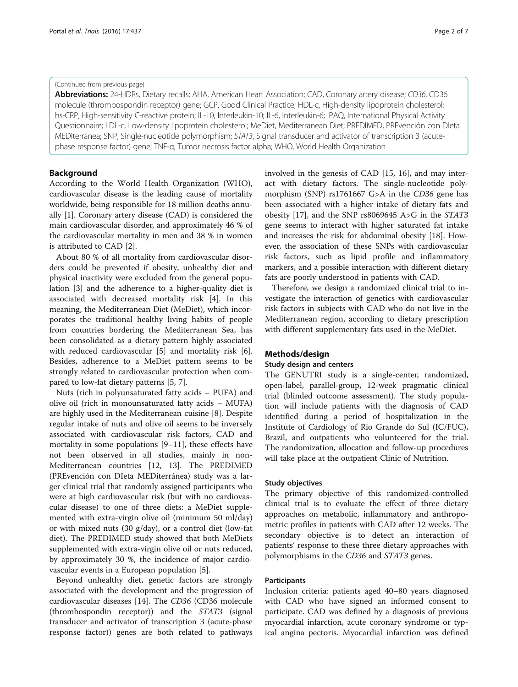#### (Continued from previous page)

Abbreviations: 24-HDRs, Dietary recalls; AHA, American Heart Association; CAD, Coronary artery disease; CD36, CD36 molecule (thrombospondin receptor) gene; GCP, Good Clinical Practice; HDL-c, High-density lipoprotein cholesterol; hs-CRP, High-sensitivity C-reactive protein; IL-10, Interleukin-10; IL-6, Interleukin-6; IPAQ, International Physical Activity Questionnaire; LDL-c, Low-density lipoprotein cholesterol; MeDiet, Mediterranean Diet; PREDIMED, PREvención con DIeta MEDiterránea; SNP, Single-nucleotide polymorphism; STAT3, Signal transducer and activator of transcription 3 (acutephase response factor) gene; TNF-α, Tumor necrosis factor alpha; WHO, World Health Organization

#### Background

According to the World Health Organization (WHO), cardiovascular disease is the leading cause of mortality worldwide, being responsible for 18 million deaths annually [1]. Coronary artery disease (CAD) is considered the main cardiovascular disorder, and approximately 46 % of the cardiovascular mortality in men and 38 % in women is attributed to CAD [2].

About 80 % of all mortality from cardiovascular disorders could be prevented if obesity, unhealthy diet and physical inactivity were excluded from the general population [3] and the adherence to a higher-quality diet is associated with decreased mortality risk [4]. In this meaning, the Mediterranean Diet (MeDiet), which incorporates the traditional healthy living habits of people from countries bordering the Mediterranean Sea, has been consolidated as a dietary pattern highly associated with reduced cardiovascular [5] and mortality risk [6]. Besides, adherence to a MeDiet pattern seems to be strongly related to cardiovascular protection when compared to low-fat dietary patterns [5, 7].

Nuts (rich in polyunsaturated fatty acids – PUFA) and olive oil (rich in monounsaturated fatty acids – MUFA) are highly used in the Mediterranean cuisine [8]. Despite regular intake of nuts and olive oil seems to be inversely associated with cardiovascular risk factors, CAD and mortality in some populations [9–11], these effects have not been observed in all studies, mainly in non-Mediterranean countries [12, 13]. The PREDIMED (PREvención con DIeta MEDiterránea) study was a larger clinical trial that randomly assigned participants who were at high cardiovascular risk (but with no cardiovascular disease) to one of three diets: a MeDiet supplemented with extra-virgin olive oil (minimum 50 ml/day) or with mixed nuts (30 g/day), or a control diet (low-fat diet). The PREDIMED study showed that both MeDiets supplemented with extra-virgin olive oil or nuts reduced, by approximately 30 %, the incidence of major cardiovascular events in a European population [5].

Beyond unhealthy diet, genetic factors are strongly associated with the development and the progression of cardiovascular diseases [14]. The CD36 (CD36 molecule (thrombospondin receptor)) and the STAT3 (signal transducer and activator of transcription 3 (acute-phase response factor)) genes are both related to pathways

involved in the genesis of CAD [15, 16], and may interact with dietary factors. The single-nucleotide polymorphism (SNP) rs1761667 G>A in the CD36 gene has been associated with a higher intake of dietary fats and obesity [17], and the SNP rs8069645 A>G in the STAT3 gene seems to interact with higher saturated fat intake and increases the risk for abdominal obesity [18]. However, the association of these SNPs with cardiovascular risk factors, such as lipid profile and inflammatory markers, and a possible interaction with different dietary fats are poorly understood in patients with CAD.

Therefore, we design a randomized clinical trial to investigate the interaction of genetics with cardiovascular risk factors in subjects with CAD who do not live in the Mediterranean region, according to dietary prescription with different supplementary fats used in the MeDiet.

#### Methods/design

#### Study design and centers

The GENUTRI study is a single-center, randomized, open-label, parallel-group, 12-week pragmatic clinical trial (blinded outcome assessment). The study population will include patients with the diagnosis of CAD identified during a period of hospitalization in the Institute of Cardiology of Rio Grande do Sul (IC/FUC), Brazil, and outpatients who volunteered for the trial. The randomization, allocation and follow-up procedures will take place at the outpatient Clinic of Nutrition.

#### Study objectives

The primary objective of this randomized-controlled clinical trial is to evaluate the effect of three dietary approaches on metabolic, inflammatory and anthropometric profiles in patients with CAD after 12 weeks. The secondary objective is to detect an interaction of patients' response to these three dietary approaches with polymorphisms in the CD36 and STAT3 genes.

#### Participants

Inclusion criteria: patients aged 40–80 years diagnosed with CAD who have signed an informed consent to participate. CAD was defined by a diagnosis of previous myocardial infarction, acute coronary syndrome or typical angina pectoris. Myocardial infarction was defined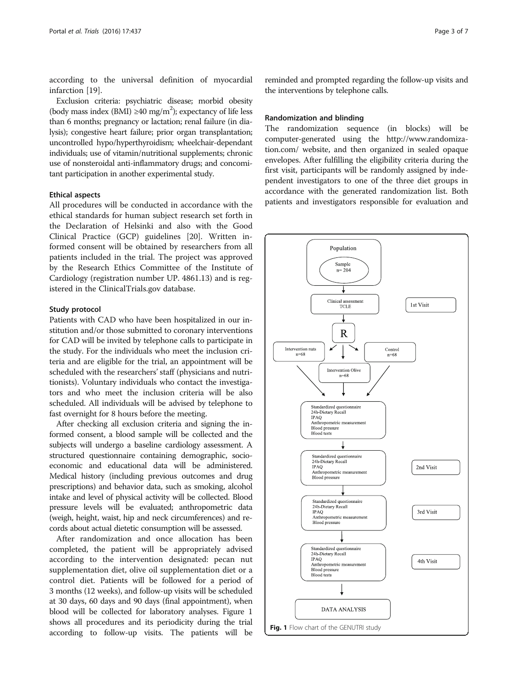according to the universal definition of myocardial infarction [19].

Exclusion criteria: psychiatric disease; morbid obesity (body mass index (BMI)  $\geq$ 40 mg/m<sup>2</sup>); expectancy of life less than 6 months; pregnancy or lactation; renal failure (in dialysis); congestive heart failure; prior organ transplantation; uncontrolled hypo/hyperthyroidism; wheelchair-dependant individuals; use of vitamin/nutritional supplements; chronic use of nonsteroidal anti-inflammatory drugs; and concomitant participation in another experimental study.

#### Ethical aspects

All procedures will be conducted in accordance with the ethical standards for human subject research set forth in the Declaration of Helsinki and also with the Good Clinical Practice (GCP) guidelines [20]. Written informed consent will be obtained by researchers from all patients included in the trial. The project was approved by the Research Ethics Committee of the Institute of Cardiology (registration number UP. 4861.13) and is registered in the ClinicalTrials.gov database.

#### Study protocol

Patients with CAD who have been hospitalized in our institution and/or those submitted to coronary interventions for CAD will be invited by telephone calls to participate in the study. For the individuals who meet the inclusion criteria and are eligible for the trial, an appointment will be scheduled with the researchers' staff (physicians and nutritionists). Voluntary individuals who contact the investigators and who meet the inclusion criteria will be also scheduled. All individuals will be advised by telephone to fast overnight for 8 hours before the meeting.

After checking all exclusion criteria and signing the informed consent, a blood sample will be collected and the subjects will undergo a baseline cardiology assessment. A structured questionnaire containing demographic, socioeconomic and educational data will be administered. Medical history (including previous outcomes and drug prescriptions) and behavior data, such as smoking, alcohol intake and level of physical activity will be collected. Blood pressure levels will be evaluated; anthropometric data (weigh, height, waist, hip and neck circumferences) and records about actual dietetic consumption will be assessed.

After randomization and once allocation has been completed, the patient will be appropriately advised according to the intervention designated: pecan nut supplementation diet, olive oil supplementation diet or a control diet. Patients will be followed for a period of 3 months (12 weeks), and follow-up visits will be scheduled at 30 days, 60 days and 90 days (final appointment), when blood will be collected for laboratory analyses. Figure 1 shows all procedures and its periodicity during the trial according to follow-up visits. The patients will be

reminded and prompted regarding the follow-up visits and the interventions by telephone calls.

#### Randomization and blinding

The randomization sequence (in blocks) will be computer-generated using the http://www.randomization.com/ website, and then organized in sealed opaque envelopes. After fulfilling the eligibility criteria during the first visit, participants will be randomly assigned by independent investigators to one of the three diet groups in accordance with the generated randomization list. Both patients and investigators responsible for evaluation and

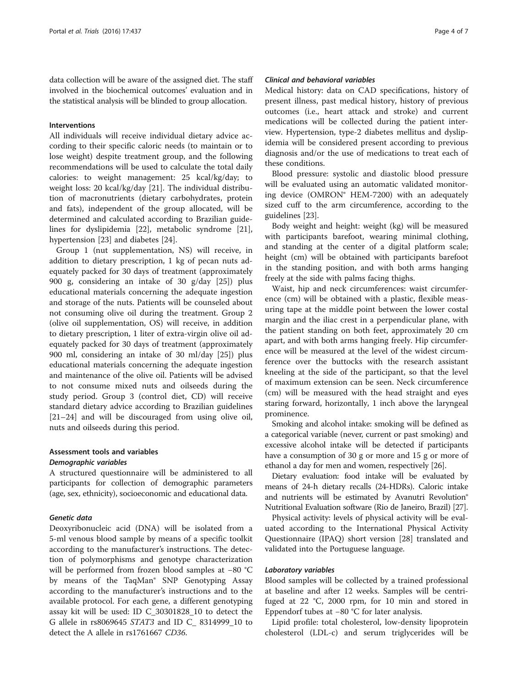data collection will be aware of the assigned diet. The staff involved in the biochemical outcomes' evaluation and in the statistical analysis will be blinded to group allocation.

#### Interventions

All individuals will receive individual dietary advice according to their specific caloric needs (to maintain or to lose weight) despite treatment group, and the following recommendations will be used to calculate the total daily calories: to weight management: 25 kcal/kg/day; to weight loss: 20 kcal/kg/day [21]. The individual distribution of macronutrients (dietary carbohydrates, protein and fats), independent of the group allocated, will be determined and calculated according to Brazilian guidelines for dyslipidemia [22], metabolic syndrome [21], hypertension [23] and diabetes [24].

Group 1 (nut supplementation, NS) will receive, in addition to dietary prescription, 1 kg of pecan nuts adequately packed for 30 days of treatment (approximately 900 g, considering an intake of 30 g/day [25]) plus educational materials concerning the adequate ingestion and storage of the nuts. Patients will be counseled about not consuming olive oil during the treatment. Group 2 (olive oil supplementation, OS) will receive, in addition to dietary prescription, 1 liter of extra-virgin olive oil adequately packed for 30 days of treatment (approximately 900 ml, considering an intake of 30 ml/day [25]) plus educational materials concerning the adequate ingestion and maintenance of the olive oil. Patients will be advised to not consume mixed nuts and oilseeds during the study period. Group 3 (control diet, CD) will receive standard dietary advice according to Brazilian guidelines [21–24] and will be discouraged from using olive oil, nuts and oilseeds during this period.

#### Assessment tools and variables Demographic variables

A structured questionnaire will be administered to all participants for collection of demographic parameters (age, sex, ethnicity), socioeconomic and educational data.

#### Genetic data

Deoxyribonucleic acid (DNA) will be isolated from a 5-ml venous blood sample by means of a specific toolkit according to the manufacturer's instructions. The detection of polymorphisms and genotype characterization will be performed from frozen blood samples at −80 °C by means of the TaqMan® SNP Genotyping Assay according to the manufacturer's instructions and to the available protocol. For each gene, a different genotyping assay kit will be used: ID C\_30301828\_10 to detect the G allele in rs8069645 STAT3 and ID C\_ 8314999\_10 to detect the A allele in rs1761667 CD36.

#### Clinical and behavioral variables

Medical history: data on CAD specifications, history of present illness, past medical history, history of previous outcomes (i.e., heart attack and stroke) and current medications will be collected during the patient interview. Hypertension, type-2 diabetes mellitus and dyslipidemia will be considered present according to previous diagnosis and/or the use of medications to treat each of these conditions.

Blood pressure: systolic and diastolic blood pressure will be evaluated using an automatic validated monitoring device (OMRON® HEM-7200) with an adequately sized cuff to the arm circumference, according to the guidelines [23].

Body weight and height: weight (kg) will be measured with participants barefoot, wearing minimal clothing, and standing at the center of a digital platform scale; height (cm) will be obtained with participants barefoot in the standing position, and with both arms hanging freely at the side with palms facing thighs.

Waist, hip and neck circumferences: waist circumference (cm) will be obtained with a plastic, flexible measuring tape at the middle point between the lower costal margin and the iliac crest in a perpendicular plane, with the patient standing on both feet, approximately 20 cm apart, and with both arms hanging freely. Hip circumference will be measured at the level of the widest circumference over the buttocks with the research assistant kneeling at the side of the participant, so that the level of maximum extension can be seen. Neck circumference (cm) will be measured with the head straight and eyes staring forward, horizontally, 1 inch above the laryngeal prominence.

Smoking and alcohol intake: smoking will be defined as a categorical variable (never, current or past smoking) and excessive alcohol intake will be detected if participants have a consumption of 30 g or more and 15 g or more of ethanol a day for men and women, respectively [26].

Dietary evaluation: food intake will be evaluated by means of 24-h dietary recalls (24-HDRs). Caloric intake and nutrients will be estimated by Avanutri Revolution® Nutritional Evaluation software (Rio de Janeiro, Brazil) [27].

Physical activity: levels of physical activity will be evaluated according to the International Physical Activity Questionnaire (IPAQ) short version [28] translated and validated into the Portuguese language.

#### Laboratory variables

Blood samples will be collected by a trained professional at baseline and after 12 weeks. Samples will be centrifuged at 22 °C, 2000 rpm, for 10 min and stored in Eppendorf tubes at −80 °C for later analysis.

Lipid profile: total cholesterol, low-density lipoprotein cholesterol (LDL-c) and serum triglycerides will be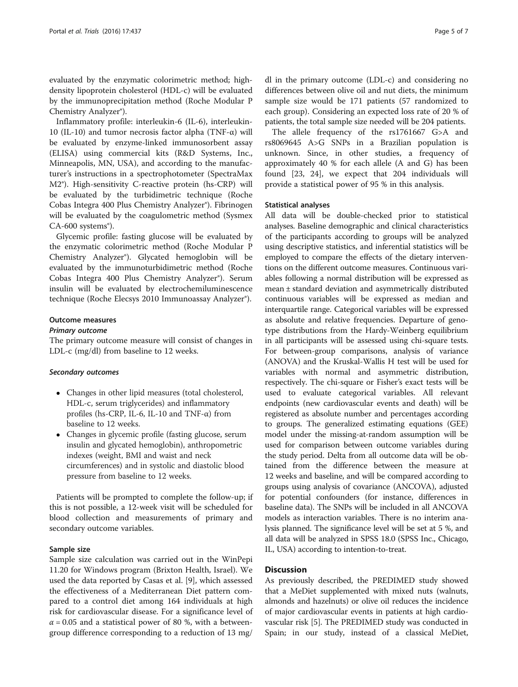evaluated by the enzymatic colorimetric method; highdensity lipoprotein cholesterol (HDL-c) will be evaluated by the immunoprecipitation method (Roche Modular P Chemistry Analyzer®).

Inflammatory profile: interleukin-6 (IL-6), interleukin-10 (IL-10) and tumor necrosis factor alpha (TNF-α) will be evaluated by enzyme-linked immunosorbent assay (ELISA) using commercial kits (R&D Systems, Inc., Minneapolis, MN, USA), and according to the manufacturer's instructions in a spectrophotometer (SpectraMax M2®). High-sensitivity C-reactive protein (hs-CRP) will be evaluated by the turbidimetric technique (Roche Cobas Integra 400 Plus Chemistry Analyzer®). Fibrinogen will be evaluated by the coagulometric method (Sysmex CA-600 systems®).

Glycemic profile: fasting glucose will be evaluated by the enzymatic colorimetric method (Roche Modular P Chemistry Analyzer®). Glycated hemoglobin will be evaluated by the immunoturbidimetric method (Roche Cobas Integra 400 Plus Chemistry Analyzer®). Serum insulin will be evaluated by electrochemiluminescence technique (Roche Elecsys 2010 Immunoassay Analyzer®).

#### Outcome measures

#### Primary outcome

The primary outcome measure will consist of changes in LDL-c (mg/dl) from baseline to 12 weeks.

#### Secondary outcomes

- Changes in other lipid measures (total cholesterol, HDL-c, serum triglycerides) and inflammatory profiles (hs-CRP, IL-6, IL-10 and TNF-α) from baseline to 12 weeks.
- Changes in glycemic profile (fasting glucose, serum insulin and glycated hemoglobin), anthropometric indexes (weight, BMI and waist and neck circumferences) and in systolic and diastolic blood pressure from baseline to 12 weeks.

Patients will be prompted to complete the follow-up; if this is not possible, a 12-week visit will be scheduled for blood collection and measurements of primary and secondary outcome variables.

#### Sample size

Sample size calculation was carried out in the WinPepi 11.20 for Windows program (Brixton Health, Israel). We used the data reported by Casas et al. [9], which assessed the effectiveness of a Mediterranean Diet pattern compared to a control diet among 164 individuals at high risk for cardiovascular disease. For a significance level of  $\alpha$  = 0.05 and a statistical power of 80 %, with a betweengroup difference corresponding to a reduction of 13 mg/

dl in the primary outcome (LDL-c) and considering no differences between olive oil and nut diets, the minimum sample size would be 171 patients (57 randomized to each group). Considering an expected loss rate of 20 % of patients, the total sample size needed will be 204 patients.

The allele frequency of the rs1761667 G>A and rs8069645 A>G SNPs in a Brazilian population is unknown. Since, in other studies, a frequency of approximately 40 % for each allele (A and G) has been found [23, 24], we expect that 204 individuals will provide a statistical power of 95 % in this analysis.

#### Statistical analyses

All data will be double-checked prior to statistical analyses. Baseline demographic and clinical characteristics of the participants according to groups will be analyzed using descriptive statistics, and inferential statistics will be employed to compare the effects of the dietary interventions on the different outcome measures. Continuous variables following a normal distribution will be expressed as mean ± standard deviation and asymmetrically distributed continuous variables will be expressed as median and interquartile range. Categorical variables will be expressed as absolute and relative frequencies. Departure of genotype distributions from the Hardy-Weinberg equilibrium in all participants will be assessed using chi-square tests. For between-group comparisons, analysis of variance (ANOVA) and the Kruskal-Wallis H test will be used for variables with normal and asymmetric distribution, respectively. The chi-square or Fisher's exact tests will be used to evaluate categorical variables. All relevant endpoints (new cardiovascular events and death) will be registered as absolute number and percentages according to groups. The generalized estimating equations (GEE) model under the missing-at-random assumption will be used for comparison between outcome variables during the study period. Delta from all outcome data will be obtained from the difference between the measure at 12 weeks and baseline, and will be compared according to groups using analysis of covariance (ANCOVA), adjusted for potential confounders (for instance, differences in baseline data). The SNPs will be included in all ANCOVA models as interaction variables. There is no interim analysis planned. The significance level will be set at 5 %, and all data will be analyzed in SPSS 18.0 (SPSS Inc., Chicago, IL, USA) according to intention-to-treat.

#### **Discussion**

As previously described, the PREDIMED study showed that a MeDiet supplemented with mixed nuts (walnuts, almonds and hazelnuts) or olive oil reduces the incidence of major cardiovascular events in patients at high cardiovascular risk [5]. The PREDIMED study was conducted in Spain; in our study, instead of a classical MeDiet,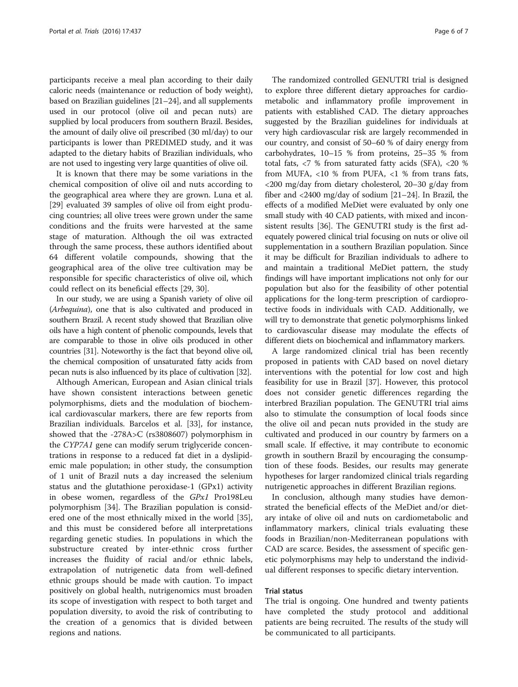participants receive a meal plan according to their daily caloric needs (maintenance or reduction of body weight), based on Brazilian guidelines [21–24], and all supplements used in our protocol (olive oil and pecan nuts) are supplied by local producers from southern Brazil. Besides, the amount of daily olive oil prescribed (30 ml/day) to our participants is lower than PREDIMED study, and it was adapted to the dietary habits of Brazilian individuals, who are not used to ingesting very large quantities of olive oil.

It is known that there may be some variations in the chemical composition of olive oil and nuts according to the geographical area where they are grown. Luna et al. [29] evaluated 39 samples of olive oil from eight producing countries; all olive trees were grown under the same conditions and the fruits were harvested at the same stage of maturation. Although the oil was extracted through the same process, these authors identified about 64 different volatile compounds, showing that the geographical area of the olive tree cultivation may be responsible for specific characteristics of olive oil, which could reflect on its beneficial effects [29, 30].

In our study, we are using a Spanish variety of olive oil (Arbequina), one that is also cultivated and produced in southern Brazil. A recent study showed that Brazilian olive oils have a high content of phenolic compounds, levels that are comparable to those in olive oils produced in other countries [31]. Noteworthy is the fact that beyond olive oil, the chemical composition of unsaturated fatty acids from pecan nuts is also influenced by its place of cultivation [32].

Although American, European and Asian clinical trials have shown consistent interactions between genetic polymorphisms, diets and the modulation of biochemical cardiovascular markers, there are few reports from Brazilian individuals. Barcelos et al. [33], for instance, showed that the -278A>C (rs3808607) polymorphism in the CYP7A1 gene can modify serum triglyceride concentrations in response to a reduced fat diet in a dyslipidemic male population; in other study, the consumption of 1 unit of Brazil nuts a day increased the selenium status and the glutathione peroxidase-1 (GPx1) activity in obese women, regardless of the GPx1 Pro198Leu polymorphism [34]. The Brazilian population is considered one of the most ethnically mixed in the world [35], and this must be considered before all interpretations regarding genetic studies. In populations in which the substructure created by inter-ethnic cross further increases the fluidity of racial and/or ethnic labels, extrapolation of nutrigenetic data from well-defined ethnic groups should be made with caution. To impact positively on global health, nutrigenomics must broaden its scope of investigation with respect to both target and population diversity, to avoid the risk of contributing to the creation of a genomics that is divided between regions and nations.

The randomized controlled GENUTRI trial is designed to explore three different dietary approaches for cardiometabolic and inflammatory profile improvement in patients with established CAD. The dietary approaches suggested by the Brazilian guidelines for individuals at very high cardiovascular risk are largely recommended in our country, and consist of 50–60 % of dairy energy from carbohydrates, 10–15 % from proteins, 25–35 % from total fats, <7 % from saturated fatty acids (SFA), <20 % from MUFA, <10 % from PUFA, <1 % from trans fats, <200 mg/day from dietary cholesterol, 20–30 g/day from fiber and <2400 mg/day of sodium [21–24]. In Brazil, the effects of a modified MeDiet were evaluated by only one small study with 40 CAD patients, with mixed and inconsistent results [36]. The GENUTRI study is the first adequately powered clinical trial focusing on nuts or olive oil supplementation in a southern Brazilian population. Since it may be difficult for Brazilian individuals to adhere to and maintain a traditional MeDiet pattern, the study findings will have important implications not only for our population but also for the feasibility of other potential applications for the long-term prescription of cardioprotective foods in individuals with CAD. Additionally, we will try to demonstrate that genetic polymorphisms linked to cardiovascular disease may modulate the effects of different diets on biochemical and inflammatory markers.

A large randomized clinical trial has been recently proposed in patients with CAD based on novel dietary interventions with the potential for low cost and high feasibility for use in Brazil [37]. However, this protocol does not consider genetic differences regarding the interbred Brazilian population. The GENUTRI trial aims also to stimulate the consumption of local foods since the olive oil and pecan nuts provided in the study are cultivated and produced in our country by farmers on a small scale. If effective, it may contribute to economic growth in southern Brazil by encouraging the consumption of these foods. Besides, our results may generate hypotheses for larger randomized clinical trials regarding nutrigenetic approaches in different Brazilian regions.

In conclusion, although many studies have demonstrated the beneficial effects of the MeDiet and/or dietary intake of olive oil and nuts on cardiometabolic and inflammatory markers, clinical trials evaluating these foods in Brazilian/non-Mediterranean populations with CAD are scarce. Besides, the assessment of specific genetic polymorphisms may help to understand the individual different responses to specific dietary intervention.

#### Trial status

The trial is ongoing. One hundred and twenty patients have completed the study protocol and additional patients are being recruited. The results of the study will be communicated to all participants.